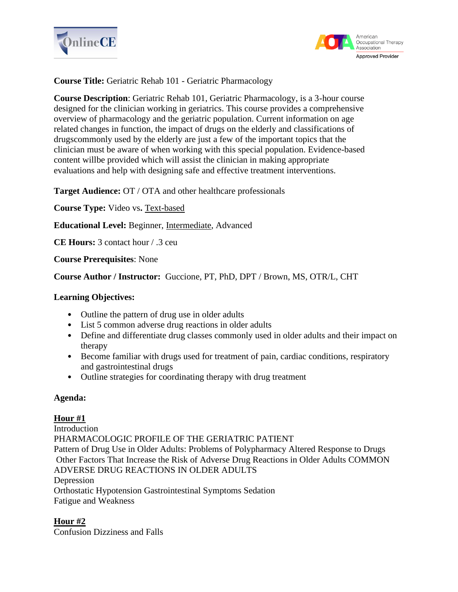



**Course Title:** Geriatric Rehab 101 - Geriatric Pharmacology

**Course Description**: Geriatric Rehab 101, Geriatric Pharmacology, is a 3-hour course designed for the clinician working in geriatrics. This course provides a comprehensive overview of pharmacology and the geriatric population. Current information on age related changes in function, the impact of drugs on the elderly and classifications of drugscommonly used by the elderly are just a few of the important topics that the clinician must be aware of when working with this special population. Evidence-based content willbe provided which will assist the clinician in making appropriate evaluations and help with designing safe and effective treatment interventions.

**Target Audience:** OT / OTA and other healthcare professionals

**Course Type:** Video vs**.** Text-based

**Educational Level:** Beginner, Intermediate, Advanced

**CE Hours:** 3 contact hour / .3 ceu

**Course Prerequisites**: None

**Course Author / Instructor:** Guccione, PT, PhD, DPT / Brown, MS, OTR/L, CHT

#### **Learning Objectives:**

- Outline the pattern of drug use in older adults
- List 5 common adverse drug reactions in older adults
- Define and differentiate drug classes commonly used in older adults and their impact on therapy
- Become familiar with drugs used for treatment of pain, cardiac conditions, respiratory and gastrointestinal drugs
- Outline strategies for coordinating therapy with drug treatment

### **Agenda:**

**Hour #1** Introduction PHARMACOLOGIC PROFILE OF THE GERIATRIC PATIENT Pattern of Drug Use in Older Adults: Problems of Polypharmacy Altered Response to Drugs Other Factors That Increase the Risk of Adverse Drug Reactions in Older Adults COMMON ADVERSE DRUG REACTIONS IN OLDER ADULTS Depression Orthostatic Hypotension Gastrointestinal Symptoms Sedation Fatigue and Weakness

### **Hour #2**

Confusion Dizziness and Falls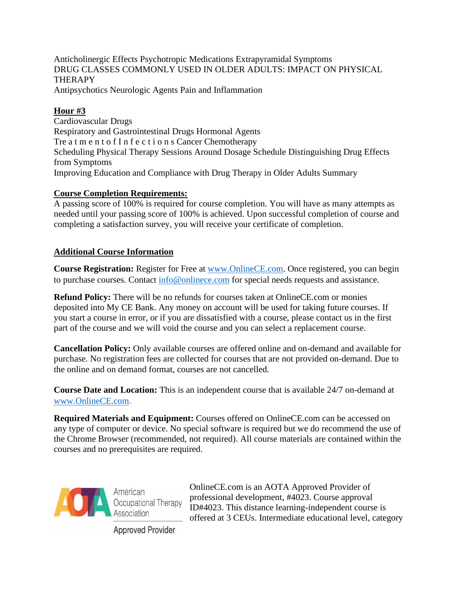Anticholinergic Effects Psychotropic Medications Extrapyramidal Symptoms DRUG CLASSES COMMONLY USED IN OLDER ADULTS: IMPACT ON PHYSICAL **THERAPY** Antipsychotics Neurologic Agents Pain and Inflammation

# **Hour #3**

Cardiovascular Drugs Respiratory and Gastrointestinal Drugs Hormonal Agents Tre a t m e n t o f I n f e c t i o n s Cancer Chemotherapy Scheduling Physical Therapy Sessions Around Dosage Schedule Distinguishing Drug Effects from Symptoms Improving Education and Compliance with Drug Therapy in Older Adults Summary

# **Course Completion Requirements:**

A passing score of 100% is required for course completion. You will have as many attempts as needed until your passing score of 100% is achieved. Upon successful completion of course and completing a satisfaction survey, you will receive your certificate of completion.

# **Additional Course Information**

**Course Registration:** Register for Free at [www.OnlineCE.com.](http://www.onlinece.com/) Once registered, you can begin to purchase courses. Contact [info@onlinece.com](mailto:info@onlinece.com) for special needs requests and assistance.

**Refund Policy:** There will be no refunds for courses taken at OnlineCE.com or monies deposited into My CE Bank. Any money on account will be used for taking future courses. If you start a course in error, or if you are dissatisfied with a course, please contact us in the first part of the course and we will void the course and you can select a replacement course.

**Cancellation Policy:** Only available courses are offered online and on-demand and available for purchase. No registration fees are collected for courses that are not provided on-demand. Due to the online and on demand format, courses are not cancelled.

**Course Date and Location:** This is an independent course that is available 24/7 on-demand at [www.OnlineCE.com.](http://www.onlinece.com/)

**Required Materials and Equipment:** Courses offered on OnlineCE.com can be accessed on any type of computer or device. No special software is required but we do recommend the use of the Chrome Browser (recommended, not required). All course materials are contained within the courses and no prerequisites are required.



OnlineCE.com is an AOTA Approved Provider of professional development, #4023. Course approval ID#4023. This distance learning-independent course is offered at 3 CEUs. Intermediate educational level, category

**Approved Provider**